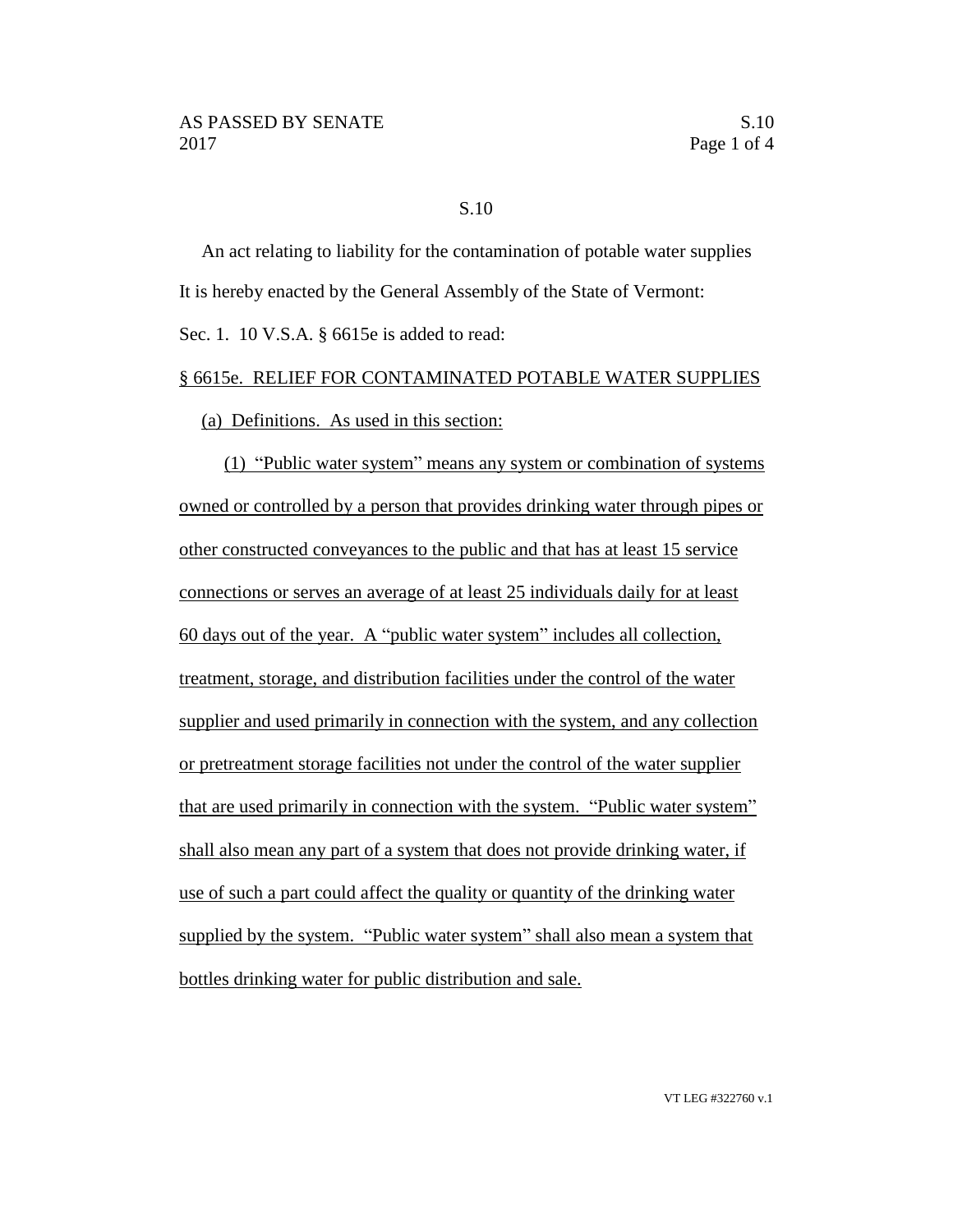## S.10

An act relating to liability for the contamination of potable water supplies It is hereby enacted by the General Assembly of the State of Vermont:

Sec. 1. 10 V.S.A. § 6615e is added to read:

## § 6615e. RELIEF FOR CONTAMINATED POTABLE WATER SUPPLIES

(a) Definitions. As used in this section:

(1) "Public water system" means any system or combination of systems owned or controlled by a person that provides drinking water through pipes or other constructed conveyances to the public and that has at least 15 service connections or serves an average of at least 25 individuals daily for at least 60 days out of the year. A "public water system" includes all collection, treatment, storage, and distribution facilities under the control of the water supplier and used primarily in connection with the system, and any collection or pretreatment storage facilities not under the control of the water supplier that are used primarily in connection with the system. "Public water system" shall also mean any part of a system that does not provide drinking water, if use of such a part could affect the quality or quantity of the drinking water supplied by the system. "Public water system" shall also mean a system that bottles drinking water for public distribution and sale.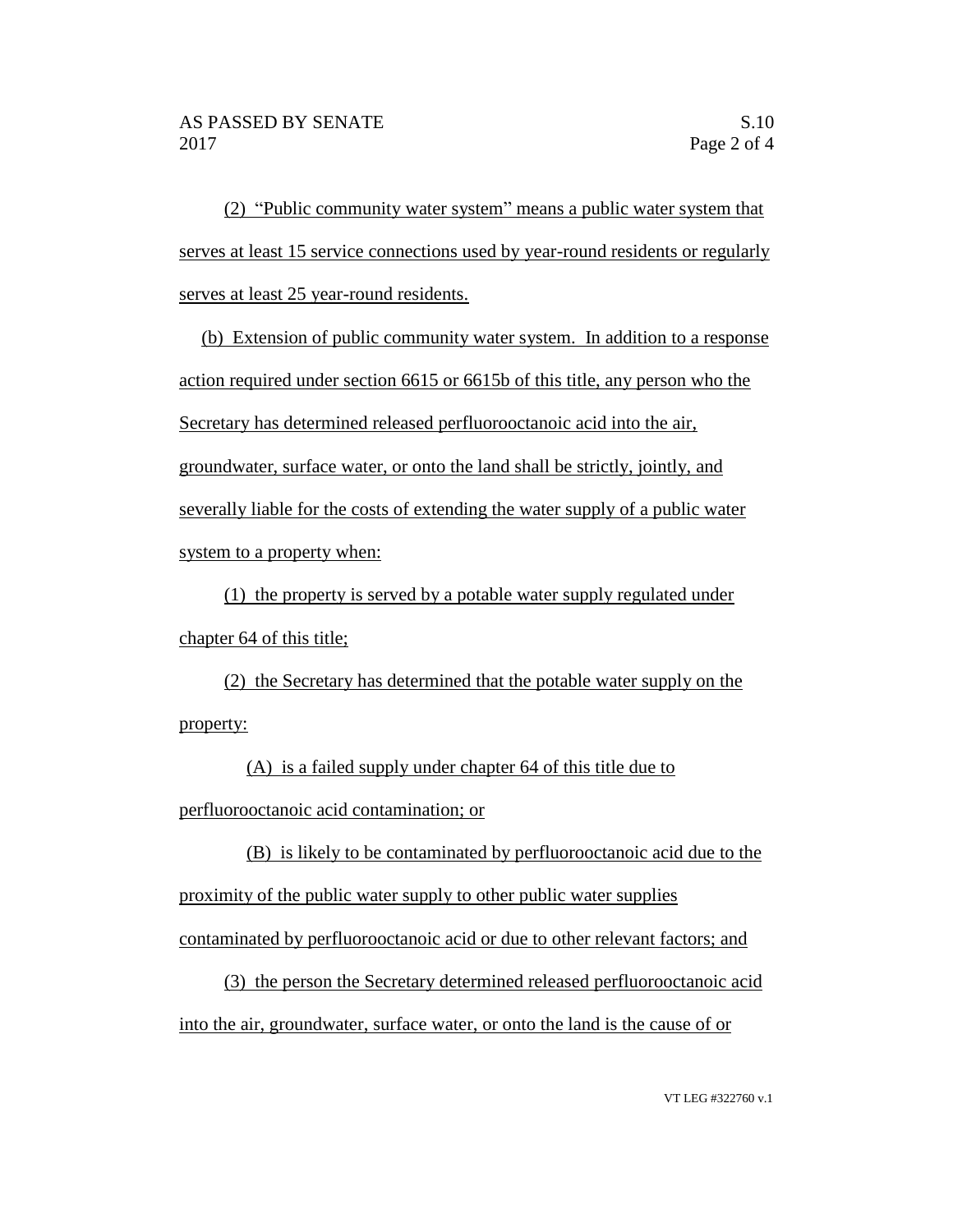(2) "Public community water system" means a public water system that serves at least 15 service connections used by year-round residents or regularly serves at least 25 year-round residents.

(b) Extension of public community water system. In addition to a response action required under section 6615 or 6615b of this title, any person who the Secretary has determined released perfluorooctanoic acid into the air, groundwater, surface water, or onto the land shall be strictly, jointly, and severally liable for the costs of extending the water supply of a public water system to a property when:

(1) the property is served by a potable water supply regulated under chapter 64 of this title;

(2) the Secretary has determined that the potable water supply on the property:

(A) is a failed supply under chapter 64 of this title due to perfluorooctanoic acid contamination; or

(B) is likely to be contaminated by perfluorooctanoic acid due to the proximity of the public water supply to other public water supplies contaminated by perfluorooctanoic acid or due to other relevant factors; and

(3) the person the Secretary determined released perfluorooctanoic acid into the air, groundwater, surface water, or onto the land is the cause of or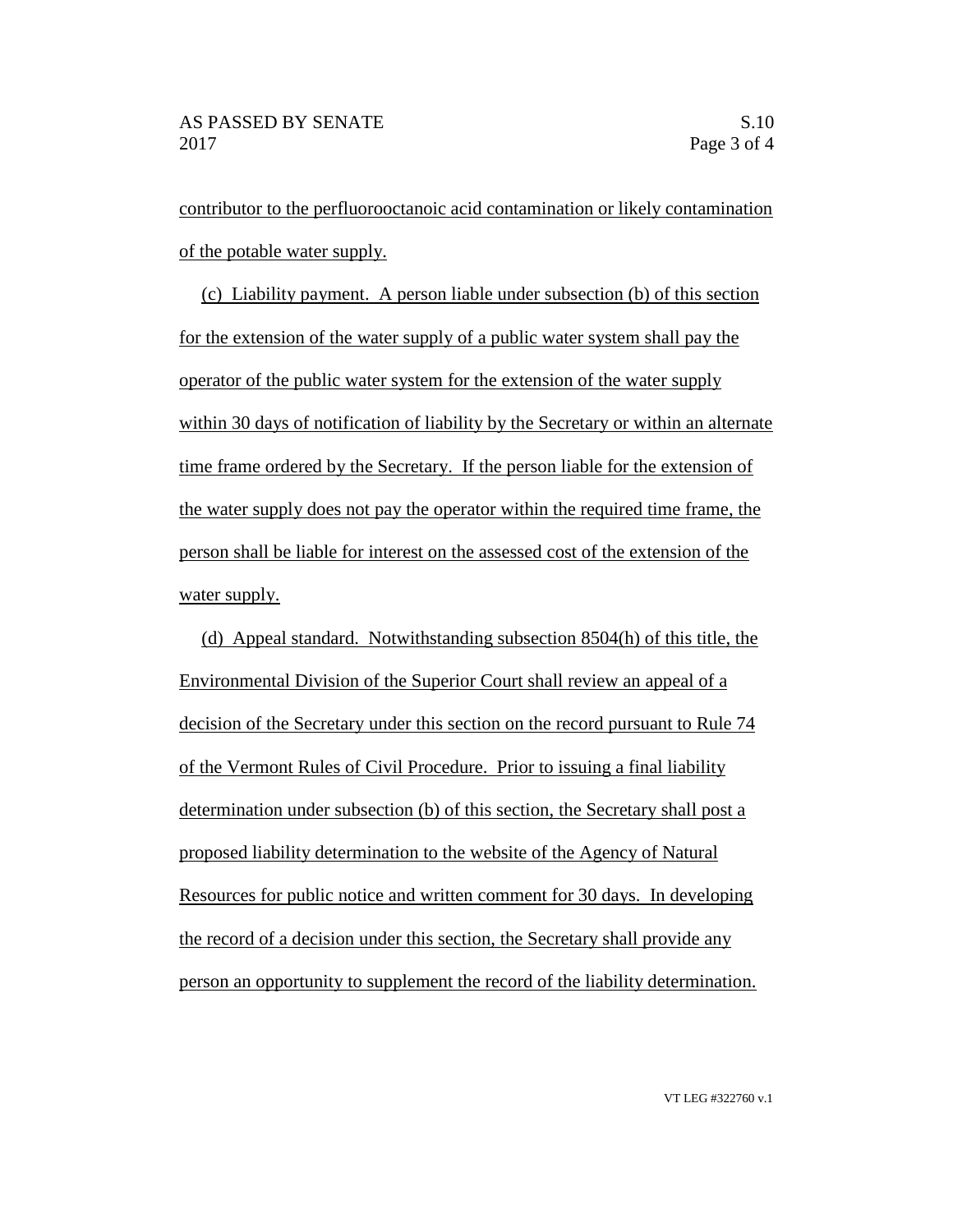contributor to the perfluorooctanoic acid contamination or likely contamination of the potable water supply.

(c) Liability payment. A person liable under subsection (b) of this section for the extension of the water supply of a public water system shall pay the operator of the public water system for the extension of the water supply within 30 days of notification of liability by the Secretary or within an alternate time frame ordered by the Secretary. If the person liable for the extension of the water supply does not pay the operator within the required time frame, the person shall be liable for interest on the assessed cost of the extension of the water supply.

(d) Appeal standard. Notwithstanding subsection 8504(h) of this title, the Environmental Division of the Superior Court shall review an appeal of a decision of the Secretary under this section on the record pursuant to Rule 74 of the Vermont Rules of Civil Procedure. Prior to issuing a final liability determination under subsection (b) of this section, the Secretary shall post a proposed liability determination to the website of the Agency of Natural Resources for public notice and written comment for 30 days. In developing the record of a decision under this section, the Secretary shall provide any person an opportunity to supplement the record of the liability determination.